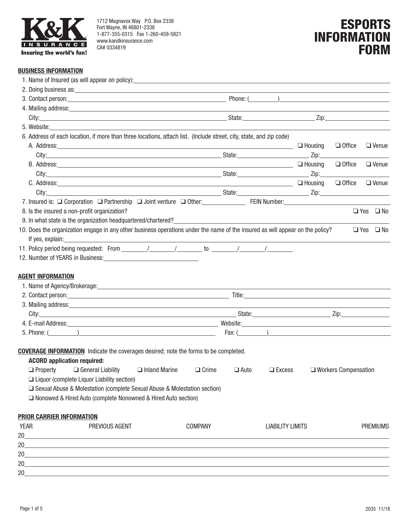

1712 Magnavox Way P.O. Box 2338 Fort Wayne, IN 46801-2338 1-877-355-0315 Fax 1-260-459-5821 www.kandkinsurance.com CA# 0334819

# ESPORTS INFORMATION **FORM**

#### **BUSINESS INFORMATION**

| 2. Doing business as: example and the set of the set of the set of the set of the set of the set of the set of the set of the set of the set of the set of the set of the set of the set of the set of the set of the set of t                                                                                                      |                                              |                                                                                                                                                                                                                                      |
|-------------------------------------------------------------------------------------------------------------------------------------------------------------------------------------------------------------------------------------------------------------------------------------------------------------------------------------|----------------------------------------------|--------------------------------------------------------------------------------------------------------------------------------------------------------------------------------------------------------------------------------------|
|                                                                                                                                                                                                                                                                                                                                     |                                              | Phone: ( <u>2008)</u> 2020 2020 2020 2021 2022 2021 2022 2022 2022 2022 2022 2022 2022 2022 2022 2022 2022 2022 2022 2022 2022 2022 2022 2022 2022 2022 2022 2022 2022 2022 2022 2022 2022 2022 2022 2022 2022 2022 2022 2022 2022 2 |
|                                                                                                                                                                                                                                                                                                                                     |                                              |                                                                                                                                                                                                                                      |
|                                                                                                                                                                                                                                                                                                                                     |                                              |                                                                                                                                                                                                                                      |
| 5. Website: <u>Contract of the contract of the contract of the contract of the contract of the contract of the contract of the contract of the contract of the contract of the contract of the contract of the contract of the c</u>                                                                                                |                                              |                                                                                                                                                                                                                                      |
| 6. Address of each location, if more than three locations, attach list. (Include street, city, state, and zip code)                                                                                                                                                                                                                 |                                              |                                                                                                                                                                                                                                      |
| A. Address: <u>Andress: Address: Address: Address: Address: Address: Address: Address: Address: Address: Address: Address: Address: Address: Address: Address: Address: Address: Address: Address: Address: Address: Address: Ad</u>                                                                                                |                                              | $\Box$ Housing<br>$\Box$ Office<br>$\Box$ Venue                                                                                                                                                                                      |
|                                                                                                                                                                                                                                                                                                                                     |                                              |                                                                                                                                                                                                                                      |
| B. Address: 2008 Contract Contract Contract Contract Contract Contract Contract Contract Contract Contract Contract Contract Contract Contract Contract Contract Contract Contract Contract Contract Contract Contract Contrac                                                                                                      |                                              |                                                                                                                                                                                                                                      |
|                                                                                                                                                                                                                                                                                                                                     |                                              |                                                                                                                                                                                                                                      |
|                                                                                                                                                                                                                                                                                                                                     |                                              | $\Box$ Venue                                                                                                                                                                                                                         |
|                                                                                                                                                                                                                                                                                                                                     |                                              |                                                                                                                                                                                                                                      |
| 7. Insured is: Q Corporation Q Partnership Q Joint venture Q Other: FEIN Number: FEIN Number:                                                                                                                                                                                                                                       |                                              |                                                                                                                                                                                                                                      |
| 8. Is the insured a non-profit organization?                                                                                                                                                                                                                                                                                        |                                              | $\Box$ Yes $\Box$ No                                                                                                                                                                                                                 |
|                                                                                                                                                                                                                                                                                                                                     |                                              |                                                                                                                                                                                                                                      |
| 10. Does the organization engage in any other business operations under the name of the insured as will appear on the policy?                                                                                                                                                                                                       |                                              | $\Box$ Yes $\Box$ No                                                                                                                                                                                                                 |
|                                                                                                                                                                                                                                                                                                                                     |                                              |                                                                                                                                                                                                                                      |
|                                                                                                                                                                                                                                                                                                                                     |                                              |                                                                                                                                                                                                                                      |
|                                                                                                                                                                                                                                                                                                                                     |                                              |                                                                                                                                                                                                                                      |
| <b>AGENT INFORMATION</b><br>1. Name of Agency/Brokerage: <u>contract and a series of Agency Brokerage</u> : and a series of Agency/Brokerage:                                                                                                                                                                                       |                                              |                                                                                                                                                                                                                                      |
| 3. Mailing address: example and a series of the series of the series of the series of the series of the series of the series of the series of the series of the series of the series of the series of the series of the series                                                                                                      |                                              |                                                                                                                                                                                                                                      |
|                                                                                                                                                                                                                                                                                                                                     |                                              |                                                                                                                                                                                                                                      |
|                                                                                                                                                                                                                                                                                                                                     |                                              |                                                                                                                                                                                                                                      |
| 5. Phone: ( <u>2004)</u>                                                                                                                                                                                                                                                                                                            |                                              |                                                                                                                                                                                                                                      |
| <b>COVERAGE INFORMATION</b> Indicate the coverages desired; note the forms to be completed.<br><b>ACORD application required:</b><br>$\Box$ Property $\Box$ General Liability<br>$\Box$ Inland Marine<br>□ Liquor (complete Liquor Liability section)<br>□ Sexual Abuse & Molestation (complete Sexual Abuse & Molestation section) | $\Box$ Crime<br>$\Box$ Auto<br>$\Box$ Excess | $\Box$ Workers Compensation                                                                                                                                                                                                          |
| □ Nonowed & Hired Auto (complete Nonowned & Hired Auto section)                                                                                                                                                                                                                                                                     |                                              |                                                                                                                                                                                                                                      |
|                                                                                                                                                                                                                                                                                                                                     |                                              |                                                                                                                                                                                                                                      |
| PRIOR CARRIER INFORMATION                                                                                                                                                                                                                                                                                                           |                                              |                                                                                                                                                                                                                                      |
| <b>YEAR</b><br>PREVIOUS AGENT<br><b>COMPANY</b>                                                                                                                                                                                                                                                                                     | <b>LIABILITY LIMITS</b>                      | <b>PREMIUMS</b>                                                                                                                                                                                                                      |
| 20<br><u> 1989 - Johann Barn, mars ann an t-Amhain Aonaichte ann an t-Amhain Aonaichte ann an t-Amhain Aonaichte ann an</u>                                                                                                                                                                                                         |                                              |                                                                                                                                                                                                                                      |
| 20<br><u> 1989 - Johann Stoff, amerikansk politiker (* 1908)</u>                                                                                                                                                                                                                                                                    |                                              |                                                                                                                                                                                                                                      |
| 20<br>,我们也不会有什么。""我们的人,我们也不会有什么?""我们的人,我们也不会有什么?""我们的人,我们也不会有什么?""我们的人,我们也不会有什么?""我们的人                                                                                                                                                                                                                                              |                                              |                                                                                                                                                                                                                                      |
| 20                                                                                                                                                                                                                                                                                                                                  |                                              |                                                                                                                                                                                                                                      |
| 20                                                                                                                                                                                                                                                                                                                                  |                                              |                                                                                                                                                                                                                                      |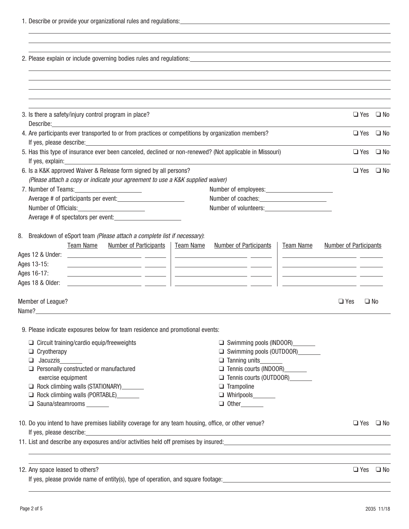| 1. Describe or provide your organizational rules and regulations: |
|-------------------------------------------------------------------|
|-------------------------------------------------------------------|

| 2. Please explain or include governing bodies rules and regulations: example and research and research and regulations.                                                                                                                                                                                                                                                                                                                                                                                                                                                                                                        |                                                                                                                                                                                                                                      |  |
|--------------------------------------------------------------------------------------------------------------------------------------------------------------------------------------------------------------------------------------------------------------------------------------------------------------------------------------------------------------------------------------------------------------------------------------------------------------------------------------------------------------------------------------------------------------------------------------------------------------------------------|--------------------------------------------------------------------------------------------------------------------------------------------------------------------------------------------------------------------------------------|--|
|                                                                                                                                                                                                                                                                                                                                                                                                                                                                                                                                                                                                                                |                                                                                                                                                                                                                                      |  |
| 3. Is there a safety/injury control program in place?                                                                                                                                                                                                                                                                                                                                                                                                                                                                                                                                                                          | $\Box$ Yes $\Box$ No                                                                                                                                                                                                                 |  |
| 4. Are participants ever transported to or from practices or competitions by organization members?<br>If yes, please describe: <u>contract and a set of the set of the set of the set of the set of the set of the set of the set of the set of the set of the set of the set of the set of the set of the set of the set of the set o</u>                                                                                                                                                                                                                                                                                     | $\Box$ Yes $\Box$ No                                                                                                                                                                                                                 |  |
| 5. Has this type of insurance ever been canceled, declined or non-renewed? (Not applicable in Missouri)                                                                                                                                                                                                                                                                                                                                                                                                                                                                                                                        | $\Box$ Yes $\Box$ No                                                                                                                                                                                                                 |  |
| 6. Is a K&K approved Waiver & Release form signed by all persons?<br>(Please attach a copy or indicate your agreement to use a K&K supplied waiver)                                                                                                                                                                                                                                                                                                                                                                                                                                                                            | $\Box$ Yes $\Box$ No                                                                                                                                                                                                                 |  |
|                                                                                                                                                                                                                                                                                                                                                                                                                                                                                                                                                                                                                                |                                                                                                                                                                                                                                      |  |
| Number of employees: Number of employees:                                                                                                                                                                                                                                                                                                                                                                                                                                                                                                                                                                                      |                                                                                                                                                                                                                                      |  |
|                                                                                                                                                                                                                                                                                                                                                                                                                                                                                                                                                                                                                                |                                                                                                                                                                                                                                      |  |
|                                                                                                                                                                                                                                                                                                                                                                                                                                                                                                                                                                                                                                |                                                                                                                                                                                                                                      |  |
|                                                                                                                                                                                                                                                                                                                                                                                                                                                                                                                                                                                                                                |                                                                                                                                                                                                                                      |  |
| 8. Breakdown of eSport team (Please attach a complete list if necessary):                                                                                                                                                                                                                                                                                                                                                                                                                                                                                                                                                      |                                                                                                                                                                                                                                      |  |
| Number of Participants<br>Team Name<br><b>Team Name</b><br><b>Number of Participants</b><br>Team Name                                                                                                                                                                                                                                                                                                                                                                                                                                                                                                                          | <b>Number of Participants</b>                                                                                                                                                                                                        |  |
| <u> 1999 - John Stone, amerikansk politiker (d. 1989)</u>                                                                                                                                                                                                                                                                                                                                                                                                                                                                                                                                                                      | <u> 1989 - Andrea Andrew Maria (b. 1989)</u>                                                                                                                                                                                         |  |
| Ages 13-15:<br><u> 2000 - Andrea Andrew Maria (b. 2000)</u><br><u> 1989 - Andrea State Barbara, amerikan personal personal personal personal personal personal personal personal </u>                                                                                                                                                                                                                                                                                                                                                                                                                                          | <u> 1999 - Johann Harry Harry Harry Harry Harry Harry Harry Harry Harry Harry Harry Harry Harry Harry Harry Harry Harry Harry Harry Harry Harry Harry Harry Harry Harry Harry Harry Harry Harry Harry Harry Harry Harry Harry Ha</u> |  |
| Ages 16-17:                                                                                                                                                                                                                                                                                                                                                                                                                                                                                                                                                                                                                    | <u> 1980 - Andrea Andrew Maria (h. 19</u>                                                                                                                                                                                            |  |
| Ages 18 & Older:<br><u> 2000 - Jan James James (</u> 1920), prima de la provincia de la prima de la prima de la provincia de la prima de                                                                                                                                                                                                                                                                                                                                                                                                                                                                                       |                                                                                                                                                                                                                                      |  |
| Member of League?<br>Name?                                                                                                                                                                                                                                                                                                                                                                                                                                                                                                                                                                                                     | $\Box$ Yes<br>$\Box$ No                                                                                                                                                                                                              |  |
| 9. Please indicate exposures below for team residence and promotional events:<br>$\Box$ Circuit training/cardio equip/freeweights<br>Swimming pools (INDOOR)<br>Swimming pools (OUTDOOR)<br>$\Box$ Cryotherapy<br>Jacuzzis<br>$\Box$ Tanning units<br>$\Box$ Personally constructed or manufactured<br>Tennis courts (INDOOR)<br>Tennis courts (OUTDOOR)<br>exercise equipment<br>Rock climbing walls (STATIONARY)<br>$\Box$ Trampoline<br>Rock climbing walls (PORTABLE)<br>□ Sauna/steamrooms _______<br>$\Box$ Other<br>10. Do you intend to have premises liability coverage for any team housing, office, or other venue? | $\Box$ Yes $\Box$ No                                                                                                                                                                                                                 |  |
| If yes, please describe: <u>contract the contract of the contract of the contract of the contract of the contract of the contract of the contract of the contract of the contract of the contract of the contract of the contrac</u><br>11. List and describe any exposures and/or activities held off premises by insured:<br>and the management of the management of the management of the management of the management of the management o                                                                                                                                                                                  |                                                                                                                                                                                                                                      |  |
|                                                                                                                                                                                                                                                                                                                                                                                                                                                                                                                                                                                                                                |                                                                                                                                                                                                                                      |  |
| 12. Any space leased to others?                                                                                                                                                                                                                                                                                                                                                                                                                                                                                                                                                                                                | $\Box$ Yes $\Box$ No                                                                                                                                                                                                                 |  |
| If yes, please provide name of entity(s), type of operation, and square footage:                                                                                                                                                                                                                                                                                                                                                                                                                                                                                                                                               |                                                                                                                                                                                                                                      |  |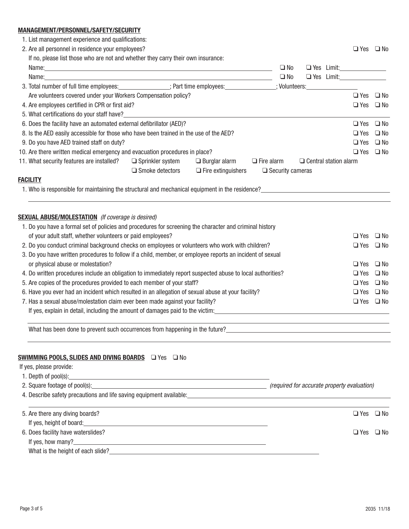## **MANAGEMENT/PERSONNEL/SAFETY/SECURITY**

1. List management experience and qualifications:

|--|

|                                                                                                            | 2. Are all personnel in residence your employees?                                                                                                                                                                                |                         |                                                            |                      |                         |                              | $\Box$ Yes $\Box$ No     |              |
|------------------------------------------------------------------------------------------------------------|----------------------------------------------------------------------------------------------------------------------------------------------------------------------------------------------------------------------------------|-------------------------|------------------------------------------------------------|----------------------|-------------------------|------------------------------|--------------------------|--------------|
|                                                                                                            | If no, please list those who are not and whether they carry their own insurance:                                                                                                                                                 |                         |                                                            |                      |                         |                              |                          |              |
|                                                                                                            | Name: Name: Name: Name: Name: Name: Name: Name: Name: Name: Name: Name: Name: Name: Name: Name: Name: Name: Name: Name: Name: Name: Name: Name: Name: Name: Name: Name: Name: Name: Name: Name: Name: Name: Name: Name: Name:    |                         |                                                            |                      | $\square$ No            |                              | $\Box$ Yes Limit: $\Box$ |              |
|                                                                                                            |                                                                                                                                                                                                                                  |                         |                                                            |                      | $\square$ No            |                              | $\Box$ Yes Limit:        |              |
|                                                                                                            | 3. Total number of full time employees: ______________; Part time employees: ___________; Volunteers: ________________                                                                                                           |                         |                                                            |                      |                         |                              |                          |              |
|                                                                                                            | Are volunteers covered under your Workers Compensation policy?                                                                                                                                                                   |                         |                                                            |                      |                         |                              | $\Box$ Yes $\Box$ No     |              |
|                                                                                                            | 4. Are employees certified in CPR or first aid?                                                                                                                                                                                  |                         |                                                            |                      |                         |                              | $\Box$ Yes $\Box$ No     |              |
|                                                                                                            | 5. What certifications do your staff have?____                                                                                                                                                                                   |                         |                                                            |                      |                         |                              |                          |              |
|                                                                                                            | 6. Does the facility have an automated external defibrillator (AED)?                                                                                                                                                             |                         |                                                            | $\Box$ Yes $\Box$ No |                         |                              |                          |              |
|                                                                                                            | 8. Is the AED easily accessible for those who have been trained in the use of the AED?                                                                                                                                           |                         |                                                            |                      |                         |                              | $\Box$ Yes               | $\square$ No |
|                                                                                                            | 9. Do you have AED trained staff on duty?                                                                                                                                                                                        |                         |                                                            |                      |                         |                              | $\Box$ Yes               | $\square$ No |
|                                                                                                            | 10. Are there written medical emergency and evacuation procedures in place?                                                                                                                                                      |                         |                                                            |                      |                         |                              | $\Box$ Yes               | $\square$ No |
|                                                                                                            | 11. What security features are installed?                                                                                                                                                                                        | $\Box$ Sprinkler system | $\Box$ Burglar alarm                                       | $\Box$ Fire alarm    |                         | $\Box$ Central station alarm |                          |              |
|                                                                                                            |                                                                                                                                                                                                                                  | $\Box$ Smoke detectors  | $\Box$ Fire extinguishers                                  |                      | $\Box$ Security cameras |                              |                          |              |
|                                                                                                            | <b>FACILITY</b>                                                                                                                                                                                                                  |                         |                                                            |                      |                         |                              |                          |              |
|                                                                                                            | 1. Who is responsible for maintaining the structural and mechanical equipment in the residence?<br>1. Who is responsible for maintaining the structural and mechanical equipment in the residence?                               |                         |                                                            |                      |                         |                              |                          |              |
|                                                                                                            |                                                                                                                                                                                                                                  |                         |                                                            |                      |                         |                              |                          |              |
|                                                                                                            |                                                                                                                                                                                                                                  |                         |                                                            |                      |                         |                              |                          |              |
|                                                                                                            | <b>SEXUAL ABUSE/MOLESTATION</b> (If coverage is desired)                                                                                                                                                                         |                         |                                                            |                      |                         |                              |                          |              |
|                                                                                                            | 1. Do you have a formal set of policies and procedures for screening the character and criminal history                                                                                                                          |                         |                                                            |                      |                         |                              |                          |              |
|                                                                                                            | of your adult staff, whether volunteers or paid employees?                                                                                                                                                                       |                         |                                                            | $\Box$ Yes $\Box$ No |                         |                              |                          |              |
|                                                                                                            | 2. Do you conduct criminal background checks on employees or volunteers who work with children?                                                                                                                                  |                         |                                                            |                      |                         |                              | $\Box$ Yes $\Box$ No     |              |
|                                                                                                            | 3. Do you have written procedures to follow if a child, member, or employee reports an incident of sexual                                                                                                                        |                         |                                                            |                      |                         |                              |                          |              |
| or physical abuse or molestation?                                                                          |                                                                                                                                                                                                                                  |                         |                                                            | $\Box$ Yes           | $\square$ No            |                              |                          |              |
| 4. Do written procedures include an obligation to immediately report suspected abuse to local authorities? |                                                                                                                                                                                                                                  |                         | $\Box$ Yes                                                 | $\square$ No         |                         |                              |                          |              |
| 5. Are copies of the procedures provided to each member of your staff?                                     |                                                                                                                                                                                                                                  |                         | $\Box$ Yes                                                 | $\square$ No         |                         |                              |                          |              |
|                                                                                                            | 6. Have you ever had an incident which resulted in an allegation of sexual abuse at your facility?                                                                                                                               |                         |                                                            | $\square$ Yes        | $\square$ No            |                              |                          |              |
| 7. Has a sexual abuse/molestation claim ever been made against your facility?                              |                                                                                                                                                                                                                                  |                         | $\Box$ Yes $\Box$ No                                       |                      |                         |                              |                          |              |
|                                                                                                            | If yes, explain in detail, including the amount of damages paid to the victim:<br>The victim material and the victim in the state of the victim in the victim in the victim in the victim in the victim in the victim in the vic |                         |                                                            |                      |                         |                              |                          |              |
|                                                                                                            | What has been done to prevent such occurrences from happening in the future?<br>                                                                                                                                                 |                         |                                                            |                      |                         |                              |                          |              |
|                                                                                                            |                                                                                                                                                                                                                                  |                         |                                                            |                      |                         |                              |                          |              |
|                                                                                                            |                                                                                                                                                                                                                                  |                         |                                                            |                      |                         |                              |                          |              |
|                                                                                                            | SWIMMING POOLS, SLIDES AND DIVING BOARDS Q Yes Q No                                                                                                                                                                              |                         |                                                            |                      |                         |                              |                          |              |
|                                                                                                            | If yes, please provide:                                                                                                                                                                                                          |                         |                                                            |                      |                         |                              |                          |              |
|                                                                                                            | 1. Depth of pool(s):                                                                                                                                                                                                             |                         | <u> 1989 - Johann Barn, amerikansk politiker (d. 1989)</u> |                      |                         |                              |                          |              |
|                                                                                                            | 2. Square footage of pool(s): example and contract the contract of the contract of the contract of the contract of property evaluation)                                                                                          |                         |                                                            |                      |                         |                              |                          |              |
|                                                                                                            | 4. Describe safety precautions and life saving equipment available: <b>All and Scription Constructs</b> and a life saving equipment available:                                                                                   |                         |                                                            |                      |                         |                              |                          |              |
|                                                                                                            |                                                                                                                                                                                                                                  |                         |                                                            |                      |                         |                              |                          |              |
|                                                                                                            | 5. Are there any diving boards?                                                                                                                                                                                                  |                         |                                                            |                      |                         |                              | $\Box$ Yes $\Box$ No     |              |
|                                                                                                            |                                                                                                                                                                                                                                  |                         |                                                            |                      |                         |                              |                          |              |

If yes, height of board:

6. Does facility have waterslides?  $\Box$  No

If yes, how many?\_

What is the height of each slide?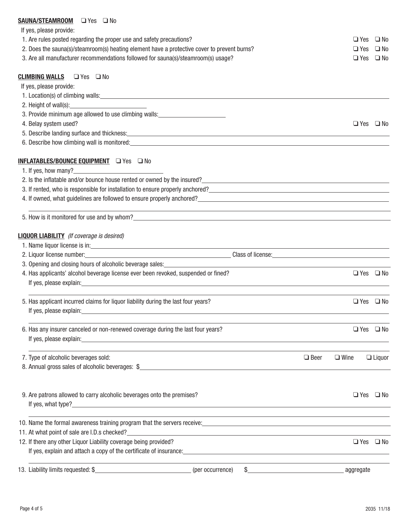## **SAUNA/STEAMROOM**  $\Box$  Yes  $\Box$  No

If yes, please provide:

| ii yes, piease provide:                          |                                                                                                                                                                                                                                       |             |                      |
|--------------------------------------------------|---------------------------------------------------------------------------------------------------------------------------------------------------------------------------------------------------------------------------------------|-------------|----------------------|
|                                                  | 1. Are rules posted regarding the proper use and safety precautions?                                                                                                                                                                  | $\Box$ Yes  | $\square$ No         |
|                                                  | 2. Does the sauna(s)/steamroom(s) heating element have a protective cover to prevent burns?                                                                                                                                           | $\Box$ Yes  | $\square$ No         |
|                                                  | 3. Are all manufacturer recommendations followed for sauna(s)/steamroom(s) usage?                                                                                                                                                     |             | $\Box$ Yes $\Box$ No |
| <b>CLIMBING WALLS</b> □ Yes □ No                 |                                                                                                                                                                                                                                       |             |                      |
| If yes, please provide:                          |                                                                                                                                                                                                                                       |             |                      |
|                                                  |                                                                                                                                                                                                                                       |             |                      |
|                                                  | 2. Height of wall(s): 1. The matter of the state of the state of the state of the state of the state of the state of the state of the state of the state of the state of the state of the state of the state of the state of t        |             |                      |
|                                                  | 3. Provide minimum age allowed to use climbing walls:<br>Sales Manuscripting walls:                                                                                                                                                   |             |                      |
| 4. Belay system used?                            |                                                                                                                                                                                                                                       |             | $\Box$ Yes $\Box$ No |
|                                                  | 5. Describe landing surface and thickness: example and the set of the set of the set of the set of the set of the set of the set of the set of the set of the set of the set of the set of the set of the set of the set of th        |             |                      |
|                                                  | 6. Describe how climbing wall is monitored: example and a series of the series of the series of the series of the series of the series of the series of the series of the series of the series of the series of the series of         |             |                      |
|                                                  | INFLATABLES/BOUNCE EQUIPMENT Q Yes Q No                                                                                                                                                                                               |             |                      |
| 1. If yes, how many?                             |                                                                                                                                                                                                                                       |             |                      |
|                                                  |                                                                                                                                                                                                                                       |             |                      |
|                                                  | 3. If rented, who is responsible for installation to ensure properly anchored?<br>2. If rented, who is responsible for installation to ensure properly anchored?                                                                      |             |                      |
|                                                  |                                                                                                                                                                                                                                       |             |                      |
|                                                  | <u> 1989 - Andrea Santa Andrea Santa Andrea Santa Andrea Santa Andrea Santa Andrea Santa Andrea Santa Andrea San</u>                                                                                                                  |             |                      |
| <b>LIQUOR LIABILITY</b> (If coverage is desired) |                                                                                                                                                                                                                                       |             |                      |
|                                                  | 1. Name liquor license is in:<br><u>example and</u> in the same set of the same set of the same set of the same set of the same set of the same set of the same set of the same set of the same set of the same set of the same set o |             |                      |
|                                                  | 2. Liquor license number: <u>contract and contract and contract and contract and contract and contract and contract and contract and contract and contract and contract and contract and contract and contract and contract and </u>  |             |                      |
|                                                  | 3. Opening and closing hours of alcoholic beverage sales: <b>Alternative Contract and Contract Contract Contract Contract Contract Contract Contract Contract Contract Contract Contract Contract Contract Contract Contract Con</b>  |             |                      |
|                                                  | 4. Has applicants' alcohol beverage license ever been revoked, suspended or fined?                                                                                                                                                    |             | $\Box$ Yes $\Box$ No |
|                                                  | If yes, please explain: <u>and the contract of the contract of the contract of the contract of the contract of the contract of the contract of the contract of the contract of the contract of the contract of the contract of t</u>  |             |                      |
|                                                  | 5. Has applicant incurred claims for liquor liability during the last four years?                                                                                                                                                     |             | $\Box$ Yes $\Box$ No |
|                                                  | If yes, please explain: example and a series of the series of the series of the series of the series of the series of the series of the series of the series of the series of the series of the series of the series of the se        |             |                      |
|                                                  | 6. Has any insurer canceled or non-renewed coverage during the last four years?                                                                                                                                                       |             | $\Box$ Yes $\Box$ No |
|                                                  | If yes, please explain: example and a series of the series of the series of the series of the series of the series of the series of the series of the series of the series of the series of the series of the series of the se        |             |                      |
| 7. Type of alcoholic beverages sold:             | $\Box$ Beer                                                                                                                                                                                                                           | $\Box$ Wine | $\Box$ Liquor        |
|                                                  | 8. Annual gross sales of alcoholic beverages: \$                                                                                                                                                                                      |             |                      |
|                                                  | 9. Are patrons allowed to carry alcoholic beverages onto the premises?                                                                                                                                                                |             | $\Box$ Yes $\Box$ No |
|                                                  |                                                                                                                                                                                                                                       |             |                      |
|                                                  | ,我们也不会有什么。""我们的人,我们也不会有什么?""我们的人,我们也不会有什么?""我们的人,我们也不会有什么?""我们的人,我们也不会有什么?""我们的人<br>10. Name the formal awareness training program that the servers receive: 10. Name the formal awareness training program that the servers receive: |             |                      |
|                                                  | 11. At what point of sale are I.D.s checked?<br><u> and the contract of sale are I.D.s checked?</u>                                                                                                                                   |             |                      |
|                                                  | 12. If there any other Liquor Liability coverage being provided?                                                                                                                                                                      |             | $\Box$ Yes $\Box$ No |
|                                                  |                                                                                                                                                                                                                                       |             |                      |
|                                                  | $$$ aggregate<br>(per occurrence)                                                                                                                                                                                                     |             |                      |